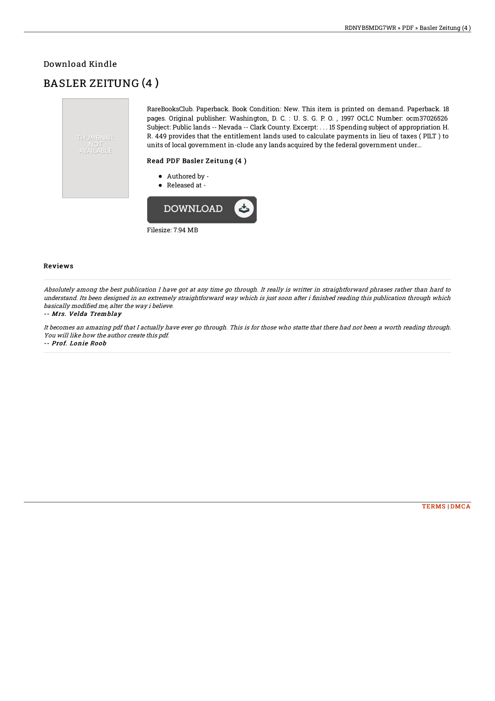### Download Kindle

# BASLER ZEITUNG (4 )



RareBooksClub. Paperback. Book Condition: New. This item is printed on demand. Paperback. 18 pages. Original publisher: Washington, D. C. : U. S. G. P. O. , 1997 OCLC Number: ocm37026526 Subject: Public lands -- Nevada -- Clark County. Excerpt: . . . 15 Spending subject of appropriation H. R. 449 provides that the entitlement lands used to calculate payments in lieu of taxes ( PILT ) to units of local government in-clude any lands acquired by the federal government under...

#### Read PDF Basler Zeitung (4 )

- Authored by -
- Released at -



#### Reviews

Absolutely among the best publication I have got at any time go through. It really is writter in straightforward phrases rather than hard to understand. Its been designed in an extremely straightforward way which is just soon after i Bnished reading this publication through which basically modified me, alter the way i believe.

#### -- Mrs. Velda Tremblay

It becomes an amazing pdf that I actually have ever go through. This is for those who statte that there had not been <sup>a</sup> worth reading through. You will like how the author create this pdf.

-- Prof. Lonie Roob